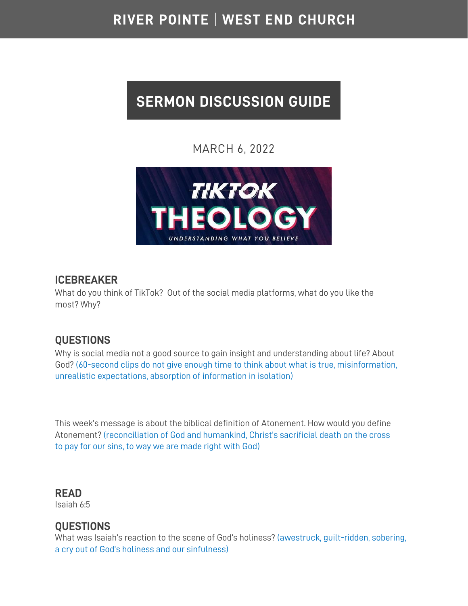# RIVER POINTE | WEST END CHURCH

# **SERMON DISCUSSION GUIDE**

# MARCH 6, 2022



#### **ICEBREAKER**

What do you think of TikTok? Out of the social media platforms, what do you like the most? Why?

# **QUESTIONS**

Why is social media not a good source to gain insight and understanding about life? About God? (60-second clips do not give enough time to think about what is true, misinformation, unrealistic expectations, absorption of information in isolation)

This week's message is about the biblical definition of Atonement. How would you define Atonement? (reconciliation of God and humankind, Christ's sacrificial death on the cross to pay for our sins, to way we are made right with God)

**READ**  Isaiah 6:5

#### **QUESTIONS**

What was Isaiah's reaction to the scene of God's holiness? (awestruck, guilt-ridden, sobering, a cry out of God's holiness and our sinfulness)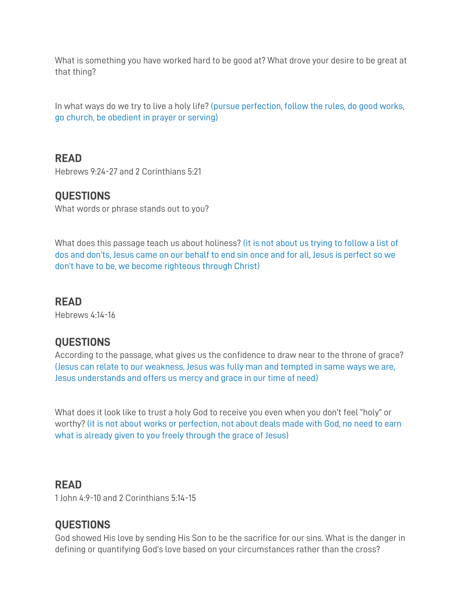What is something you have worked hard to be good at? What drove your desire to be great at that thing?

In what ways do we try to live a holy life? (pursue perfection, follow the rules, do good works, go church, be obedient in prayer or serving)

# **READ**

Hebrews 9:24-27 and 2 Corinthians 5:21

#### **QUESTIONS**

What words or phrase stands out to you?

What does this passage teach us about holiness? (it is not about us trying to follow a list of dos and don'ts, Jesus came on our behalf to end sin once and for all, Jesus is perfect so we don't have to be, we become righteous through Christ)

#### **READ**

Hebrews 4:14-16

# **QUESTIONS**

According to the passage, what gives us the confidence to draw near to the throne of grace? (Jesus can relate to our weakness, Jesus was fully man and tempted in same ways we are, Jesus understands and offers us mercy and grace in our time of need)

What does it look like to trust a holy God to receive you even when you don't feel "holy" or worthy? (it is not about works or perfection, not about deals made with God, no need to earn what is already given to you freely through the grace of Jesus)

#### **READ**

1 John 4:9-10 and 2 Corinthians 5:14-15

#### **QUESTIONS**

God showed His love by sending His Son to be the sacrifice for our sins. What is the danger in defining or quantifying God's love based on your circumstances rather than the cross?